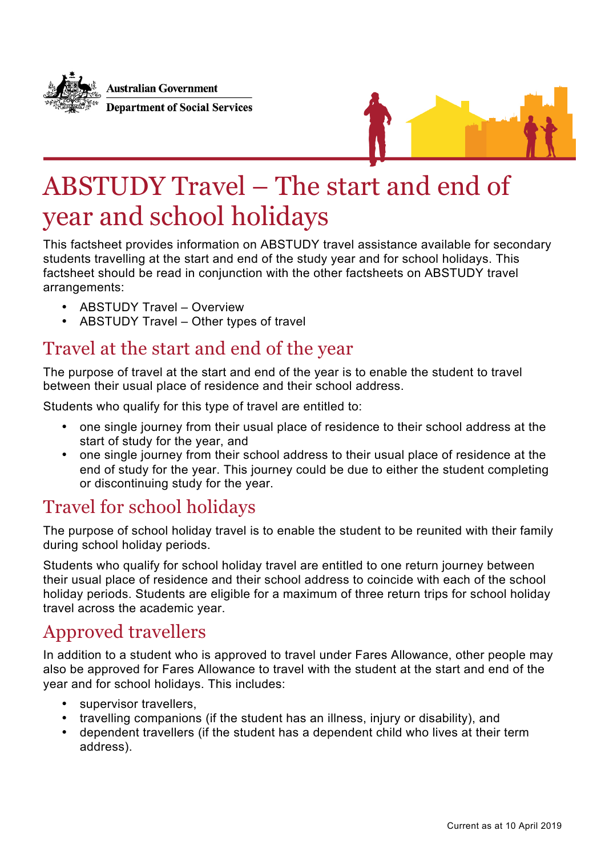



# ABSTUDY Travel – The start and end of year and school holidays

This factsheet provides information on ABSTUDY travel assistance available for secondary students travelling at the start and end of the study year and for school holidays. This factsheet should be read in conjunction with the other factsheets on ABSTUDY travel arrangements:

- ABSTUDY Travel Overview
- ABSTUDY Travel Other types of travel

### Travel at the start and end of the year

The purpose of travel at the start and end of the year is to enable the student to travel between their usual place of residence and their school address.

Students who qualify for this type of travel are entitled to:

- one single journey from their usual place of residence to their school address at the start of study for the year, and
- one single journey from their school address to their usual place of residence at the end of study for the year. This journey could be due to either the student completing or discontinuing study for the year.

## Travel for school holidays

The purpose of school holiday travel is to enable the student to be reunited with their family during school holiday periods.

Students who qualify for school holiday travel are entitled to one return journey between their usual place of residence and their school address to coincide with each of the school holiday periods. Students are eligible for a maximum of three return trips for school holiday travel across the academic year.

### Approved travellers

In addition to a student who is approved to travel under Fares Allowance, other people may also be approved for Fares Allowance to travel with the student at the start and end of the year and for school holidays. This includes:

- supervisor travellers,
- travelling companions (if the student has an illness, injury or disability), and
- dependent travellers (if the student has a dependent child who lives at their term address).